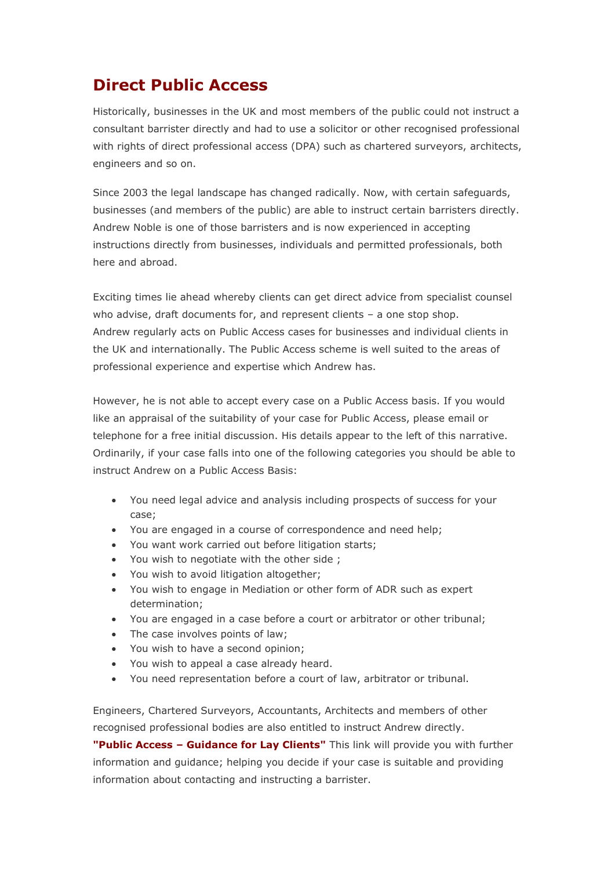## **Direct Public Access**

Historically, businesses in the UK and most members of the public could not instruct a consultant barrister directly and had to use a solicitor or other recognised professional with rights of direct professional access (DPA) such as chartered surveyors, architects, engineers and so on.

Since 2003 the legal landscape has changed radically. Now, with certain safeguards, businesses (and members of the public) are able to instruct certain barristers directly. Andrew Noble is one of those barristers and is now experienced in accepting instructions directly from businesses, individuals and permitted professionals, both here and abroad.

Exciting times lie ahead whereby clients can get direct advice from specialist counsel who advise, draft documents for, and represent clients – a one stop shop. Andrew regularly acts on Public Access cases for businesses and individual clients in the UK and internationally. The Public Access scheme is well suited to the areas of professional experience and expertise which Andrew has.

However, he is not able to accept every case on a Public Access basis. If you would like an appraisal of the suitability of your case for Public Access, please email or telephone for a free initial discussion. His details appear to the left of this narrative. Ordinarily, if your case falls into one of the following categories you should be able to instruct Andrew on a Public Access Basis:

- You need legal advice and analysis including prospects of success for your case;
- You are engaged in a course of correspondence and need help;
- You want work carried out before litigation starts;
- You wish to negotiate with the other side ;
- You wish to avoid litigation altogether;
- You wish to engage in Mediation or other form of ADR such as expert determination;
- You are engaged in a case before a court or arbitrator or other tribunal;
- The case involves points of law;
- You wish to have a second opinion;
- You wish to appeal a case already heard.
- You need representation before a court of law, arbitrator or tribunal.

Engineers, Chartered Surveyors, Accountants, Architects and members of other recognised professional bodies are also entitled to instruct Andrew directly.

**"Public Access – [Guidance for Lay Clients"](http://www.barcouncil.org.uk/guidance/publicaccessinformationforlayclients/)** This link will provide you with further information and guidance; helping you decide if your case is suitable and providing information about contacting and instructing a barrister.